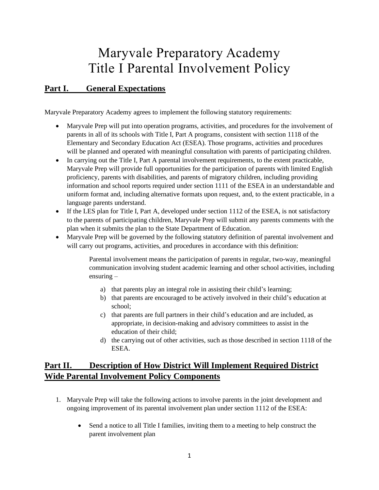## Maryvale Preparatory Academy Title I Parental Involvement Policy

## **Part I. General Expectations**

Maryvale Preparatory Academy agrees to implement the following statutory requirements:

- Maryvale Prep will put into operation programs, activities, and procedures for the involvement of parents in all of its schools with Title I, Part A programs, consistent with section 1118 of the Elementary and Secondary Education Act (ESEA). Those programs, activities and procedures will be planned and operated with meaningful consultation with parents of participating children.
- In carrying out the Title I, Part A parental involvement requirements, to the extent practicable, Maryvale Prep will provide full opportunities for the participation of parents with limited English proficiency, parents with disabilities, and parents of migratory children, including providing information and school reports required under section 1111 of the ESEA in an understandable and uniform format and, including alternative formats upon request, and, to the extent practicable, in a language parents understand.
- If the LES plan for Title I, Part A, developed under section 1112 of the ESEA, is not satisfactory to the parents of participating children, Maryvale Prep will submit any parents comments with the plan when it submits the plan to the State Department of Education.
- Maryvale Prep will be governed by the following statutory definition of parental involvement and will carry out programs, activities, and procedures in accordance with this definition:

Parental involvement means the participation of parents in regular, two-way, meaningful communication involving student academic learning and other school activities, including ensuring –

- a) that parents play an integral role in assisting their child's learning;
- b) that parents are encouraged to be actively involved in their child's education at school;
- c) that parents are full partners in their child's education and are included, as appropriate, in decision-making and advisory committees to assist in the education of their child;
- d) the carrying out of other activities, such as those described in section 1118 of the ESEA.

## **Part II. Description of How District Will Implement Required District Wide Parental Involvement Policy Components**

- 1. Maryvale Prep will take the following actions to involve parents in the joint development and ongoing improvement of its parental involvement plan under section 1112 of the ESEA:
	- Send a notice to all Title I families, inviting them to a meeting to help construct the parent involvement plan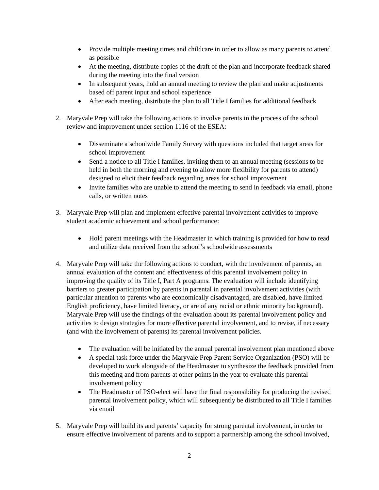- Provide multiple meeting times and childcare in order to allow as many parents to attend as possible
- At the meeting, distribute copies of the draft of the plan and incorporate feedback shared during the meeting into the final version
- In subsequent years, hold an annual meeting to review the plan and make adjustments based off parent input and school experience
- After each meeting, distribute the plan to all Title I families for additional feedback
- 2. Maryvale Prep will take the following actions to involve parents in the process of the school review and improvement under section 1116 of the ESEA:
	- Disseminate a schoolwide Family Survey with questions included that target areas for school improvement
	- Send a notice to all Title I families, inviting them to an annual meeting (sessions to be held in both the morning and evening to allow more flexibility for parents to attend) designed to elicit their feedback regarding areas for school improvement
	- Invite families who are unable to attend the meeting to send in feedback via email, phone calls, or written notes
- 3. Maryvale Prep will plan and implement effective parental involvement activities to improve student academic achievement and school performance:
	- Hold parent meetings with the Headmaster in which training is provided for how to read and utilize data received from the school's schoolwide assessments
- 4. Maryvale Prep will take the following actions to conduct, with the involvement of parents, an annual evaluation of the content and effectiveness of this parental involvement policy in improving the quality of its Title I, Part A programs. The evaluation will include identifying barriers to greater participation by parents in parental in parental involvement activities (with particular attention to parents who are economically disadvantaged, are disabled, have limited English proficiency, have limited literacy, or are of any racial or ethnic minority background). Maryvale Prep will use the findings of the evaluation about its parental involvement policy and activities to design strategies for more effective parental involvement, and to revise, if necessary (and with the involvement of parents) its parental involvement policies.
	- The evaluation will be initiated by the annual parental involvement plan mentioned above
	- A special task force under the Maryvale Prep Parent Service Organization (PSO) will be developed to work alongside of the Headmaster to synthesize the feedback provided from this meeting and from parents at other points in the year to evaluate this parental involvement policy
	- The Headmaster of PSO-elect will have the final responsibility for producing the revised parental involvement policy, which will subsequently be distributed to all Title I families via email
- 5. Maryvale Prep will build its and parents' capacity for strong parental involvement, in order to ensure effective involvement of parents and to support a partnership among the school involved,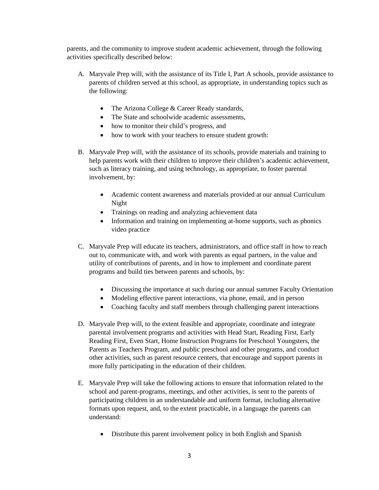parents, and the community to improve student academic achievement, through the following activities specifically described below:

- A. Maryvale Prep will, with the assistance of its Title I, Part A schools, provide assistance to parents of children served at this school, as appropriate, in understanding topics such as the following:
	- The Arizona College & Career Ready standards,
	- The State and schoolwide academic assessments,
	- how to monitor their child's progress, and
	- how to work with your teachers to ensure student growth:
- B. Maryvale Prep will, with the assistance of its schools, provide materials and training to help parents work with their children to improve their children's academic achievement, such as literacy training, and using technology, as appropriate, to foster parental involvement, by:
	- Academic content awareness and materials provided at our annual Curriculum Night
	- Trainings on reading and analyzing achievement data
	- Information and training on implementing at-home supports, such as phonics video practice
- C. Maryvale Prep will educate its teachers, administrators, and office staff in how to reach out to, communicate with, and work with parents as equal partners, in the value and utility of contributions of parents, and in how to implement and coordinate parent programs and build ties between parents and schools, by:
	- Discussing the importance at such during our annual summer Faculty Orientation
	- Modeling effective parent interactions, via phone, email, and in person
	- Coaching faculty and staff members through challenging parent interactions
- D. Maryvale Prep will, to the extent feasible and appropriate, coordinate and integrate parental involvement programs and activities with Head Start, Reading First, Early Reading First, Even Start, Home Instruction Programs for Preschool Youngsters, the Parents as Teachers Program, and public preschool and other programs, and conduct other activities, such as parent resource centers, that encourage and support parents in more fully participating in the education of their children.
- E. Maryvale Prep will take the following actions to ensure that information related to the school and parent-programs, meetings, and other activities, is sent to the parents of participating children in an understandable and uniform format, including alternative formats upon request, and, to the extent practicable, in a language the parents can understand:
	- Distribute this parent involvement policy in both English and Spanish